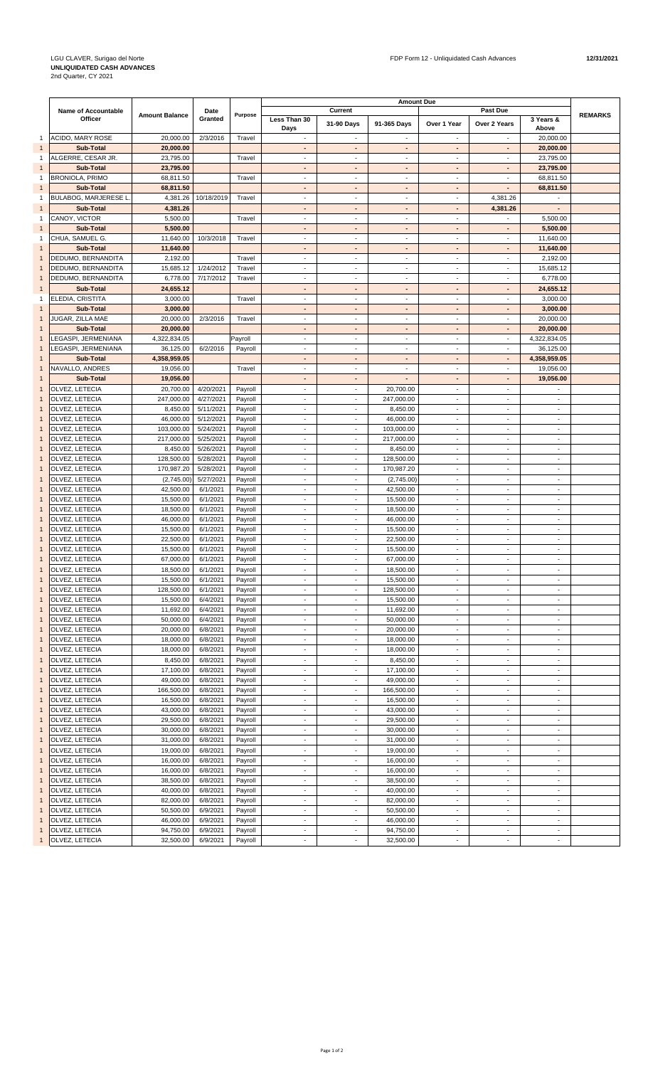|              |                            |                       |            |         | <b>Amount Due</b>        |                          |                          |                          |                          |                          |                |
|--------------|----------------------------|-----------------------|------------|---------|--------------------------|--------------------------|--------------------------|--------------------------|--------------------------|--------------------------|----------------|
|              | <b>Name of Accountable</b> | <b>Amount Balance</b> | Date       | Purpose |                          | Current                  |                          |                          | Past Due                 |                          | <b>REMARKS</b> |
|              | Officer                    |                       | Granted    |         | Less Than 30<br>Days     | 31-90 Days               | 91-365 Days              | Over 1 Year              | Over 2 Years             | 3 Years &<br>Above       |                |
|              | ACIDO, MARY ROSE           |                       |            |         |                          | $\blacksquare$           |                          | $\blacksquare$           |                          |                          |                |
| $\mathbf{1}$ |                            | 20,000.00             | 2/3/2016   | Travel  | $\overline{\phantom{a}}$ |                          | $\overline{\phantom{a}}$ |                          |                          | 20,000.00                |                |
| $\mathbf{1}$ | Sub-Total                  | 20,000.00             |            |         | ٠                        | ٠                        | ٠                        | $\blacksquare$           |                          | 20,000.00                |                |
| 1            | ALGERRE, CESAR JR.         | 23,795.00             |            | Travel  | $\overline{\phantom{a}}$ | $\overline{\phantom{a}}$ | $\sim$                   | $\overline{\phantom{a}}$ | $\overline{\phantom{a}}$ | 23,795.00                |                |
| $\mathbf{1}$ | <b>Sub-Total</b>           | 23,795.00             |            |         | ٠                        | ٠                        | $\blacksquare$           | $\overline{\phantom{a}}$ | $\overline{\phantom{a}}$ | 23,795.00                |                |
| 1            | <b>BRONIOLA, PRIMO</b>     | 68,811.50             |            | Travel  | $\blacksquare$           | $\blacksquare$           | $\sim$                   | $\blacksquare$           | $\blacksquare$           | 68,811.50                |                |
| $\mathbf{1}$ | Sub-Total                  | 68,811.50             |            |         | ٠                        | ٠                        | ٠                        | $\overline{\phantom{a}}$ | $\overline{\phantom{a}}$ | 68,811.50                |                |
| 1            | BULABOG, MARJERESE L       | 4,381.26              | 10/18/2019 | Travel  | ٠                        | $\sim$                   | $\overline{\phantom{a}}$ | $\sim$                   | 4,381.26                 |                          |                |
| $\mathbf{1}$ | Sub-Total                  | 4,381.26              |            |         | ٠                        | ٠                        | ٠                        | $\blacksquare$           | 4,381.26                 | ٠                        |                |
| 1            | CANOY, VICTOR              | 5,500.00              |            | Travel  | $\overline{\phantom{a}}$ | $\overline{\phantom{a}}$ | $\overline{\phantom{a}}$ | $\overline{\phantom{a}}$ | $\overline{\phantom{a}}$ | 5,500.00                 |                |
| $\mathbf{1}$ | <b>Sub-Total</b>           | 5,500.00              |            |         | ٠                        | $\sim$                   | $\blacksquare$           | $\overline{\phantom{a}}$ | $\blacksquare$           | 5,500.00                 |                |
| $\mathbf{1}$ | CHUA, SAMUEL G.            | 11,640.00             | 10/3/2018  | Travel  | $\blacksquare$           | $\blacksquare$           | $\sim$                   | $\sim$                   | $\sim$                   | 11,640.00                |                |
| $\mathbf{1}$ | Sub-Total                  | 11,640.00             |            |         | ٠                        | ٠                        | $\blacksquare$           | $\overline{\phantom{a}}$ | $\blacksquare$           | 11,640.00                |                |
| $\mathbf{1}$ | DEDUMO, BERNANDITA         | 2,192.00              |            | Travel  | ٠                        | $\sim$                   | $\overline{\phantom{a}}$ | $\overline{\phantom{a}}$ | $\sim$                   | 2,192.00                 |                |
| 1            | DEDUMO, BERNANDITA         | 15,685.12             | 1/24/2012  | Travel  | $\overline{\phantom{m}}$ | $\blacksquare$           | ÷,                       | $\overline{\phantom{a}}$ |                          | 15,685.12                |                |
| $\mathbf{1}$ | DEDUMO, BERNANDITA         | 6,778.00              | 7/17/2012  | Travel  | $\overline{\phantom{a}}$ | $\overline{\phantom{a}}$ | $\overline{\phantom{a}}$ | $\overline{\phantom{a}}$ | $\overline{\phantom{a}}$ | 6,778.00                 |                |
| $\mathbf{1}$ | <b>Sub-Total</b>           | 24,655.12             |            |         | ٠                        | ٠                        | $\blacksquare$           | $\blacksquare$           | $\blacksquare$           | 24,655.12                |                |
| 1            | ELEDIA, CRISTITA           | 3,000.00              |            | Travel  | $\blacksquare$           | $\sim$                   | $\sim$                   | $\overline{\phantom{a}}$ | $\overline{\phantom{a}}$ | 3,000.00                 |                |
| $\mathbf{1}$ | Sub-Total                  | 3,000.00              |            |         | ٠                        | ٠                        | ٠                        | ٠                        | $\blacksquare$           | 3,000.00                 |                |
|              |                            |                       | 2/3/2016   |         |                          | $\overline{a}$           |                          | $\overline{a}$           |                          |                          |                |
| $\mathbf{1}$ | JUGAR, ZILLA MAE           | 20,000.00             |            | Travel  | ٠                        |                          | $\overline{\phantom{a}}$ |                          | $\sim$                   | 20,000.00                |                |
| $\mathbf{1}$ | Sub-Total                  | 20.000.00             |            |         | ٠                        | ٠                        | $\overline{\phantom{a}}$ | ٠                        | $\overline{\phantom{a}}$ | 20,000.00                |                |
| -1           | LEGASPI, JERMENIANA        | 4,322,834.05          |            | Payroll | $\overline{\phantom{a}}$ | $\overline{\phantom{a}}$ | $\overline{\phantom{a}}$ | $\overline{\phantom{a}}$ | $\overline{\phantom{a}}$ | 4,322,834.05             |                |
| $\mathbf{1}$ | LEGASPI, JERMENIANA        | 36,125.00             | 6/2/2016   | Payroll | $\overline{\phantom{a}}$ | $\overline{\phantom{a}}$ | $\overline{\phantom{a}}$ | $\overline{\phantom{a}}$ | $\overline{\phantom{a}}$ | 36,125.00                |                |
| $\mathbf{1}$ | Sub-Total                  | 4,358,959.05          |            |         | ٠                        | $\blacksquare$           | ÷,                       | $\blacksquare$           | $\overline{\phantom{a}}$ | 4,358,959.05             |                |
| $\mathbf{1}$ | NAVALLO, ANDRES            | 19,056.00             |            | Travel  | $\blacksquare$           | $\blacksquare$           | $\sim$                   | $\blacksquare$           | $\blacksquare$           | 19,056.00                |                |
| $\mathbf{1}$ | <b>Sub-Total</b>           | 19,056.00             |            |         | ٠                        | $\blacksquare$           |                          | $\blacksquare$           | $\overline{\phantom{a}}$ | 19,056.00                |                |
| 1            | OLVEZ, LETECIA             | 20,700.00             | 4/20/2021  | Payroll | $\overline{\phantom{m}}$ | $\blacksquare$           | 20,700.00                | $\overline{\phantom{a}}$ |                          |                          |                |
| 1            | OLVEZ, LETECIA             | 247,000.00            | 4/27/2021  | Payroll | $\overline{\phantom{a}}$ | $\overline{\phantom{a}}$ | 247,000.00               | $\overline{\phantom{a}}$ | $\overline{\phantom{a}}$ | $\overline{\phantom{a}}$ |                |
| $\mathbf{1}$ | OLVEZ, LETECIA             | 8,450.00              | 5/11/2021  | Payroll | $\overline{\phantom{a}}$ | $\overline{\phantom{a}}$ | 8,450.00                 | $\overline{\phantom{a}}$ | $\overline{\phantom{a}}$ | $\overline{\phantom{a}}$ |                |
|              |                            | 46,000.00             | 5/12/2021  |         | $\overline{\phantom{a}}$ | $\sim$                   | 46,000.00                | $\overline{\phantom{a}}$ | $\blacksquare$           | $\overline{\phantom{a}}$ |                |
| $\mathbf{1}$ | OLVEZ, LETECIA             |                       |            | Payroll |                          |                          |                          |                          |                          |                          |                |
| $\mathbf{1}$ | OLVEZ, LETECIA             | 103,000.00            | 5/24/2021  | Payroll | $\blacksquare$           | $\blacksquare$           | 103,000.00               | $\sim$                   | $\sim$                   | $\blacksquare$           |                |
| $\mathbf{1}$ | OLVEZ, LETECIA             | 217,000.00            | 5/25/2021  | Payroll | ٠                        | $\blacksquare$           | 217,000.00               | $\overline{\phantom{a}}$ | $\sim$                   | $\blacksquare$           |                |
| $\mathbf{1}$ | OLVEZ, LETECIA             | 8,450.00              | 5/26/2021  | Payroll | $\overline{\phantom{a}}$ | $\sim$                   | 8,450.00                 | $\blacksquare$           | $\sim$                   | $\overline{\phantom{a}}$ |                |
| $\mathbf{1}$ | OLVEZ, LETECIA             | 128,500.00            | 5/28/2021  | Payroll | $\overline{\phantom{m}}$ | $\blacksquare$           | 128,500.00               | $\overline{\phantom{a}}$ |                          | $\overline{\phantom{a}}$ |                |
| $\mathbf{1}$ | OLVEZ, LETECIA             | 170,987.20            | 5/28/2021  | Payroll | $\overline{\phantom{a}}$ | $\overline{\phantom{a}}$ | 170,987.20               | $\overline{\phantom{a}}$ | $\overline{\phantom{a}}$ | $\overline{\phantom{a}}$ |                |
| $\mathbf{1}$ | OLVEZ, LETECIA             | (2,745.00)            | 5/27/2021  | Payroll | $\overline{\phantom{a}}$ | $\sim$                   | (2,745.00)               | $\overline{\phantom{a}}$ | $\sim$                   | $\blacksquare$           |                |
| $\mathbf{1}$ | OLVEZ, LETECIA             | 42,500.00             | 6/1/2021   | Payroll | $\blacksquare$           | $\sim$                   | 42,500.00                | $\blacksquare$           | $\blacksquare$           | $\blacksquare$           |                |
| $\mathbf{1}$ | OLVEZ, LETECIA             | 15,500.00             | 6/1/2021   | Payroll | $\overline{\phantom{a}}$ | $\overline{\phantom{a}}$ | 15,500.00                | $\overline{\phantom{a}}$ | $\overline{\phantom{a}}$ | $\blacksquare$           |                |
| $\mathbf{1}$ | OLVEZ, LETECIA             | 18,500.00             | 6/1/2021   | Payroll | ٠                        | $\sim$                   | 18,500.00                | $\overline{a}$           | $\sim$                   | $\sim$                   |                |
| $\mathbf{1}$ | OLVEZ, LETECIA             | 46,000.00             | 6/1/2021   | Payroll | $\overline{\phantom{a}}$ | $\overline{\phantom{a}}$ | 46,000.00                | $\overline{\phantom{a}}$ | $\overline{\phantom{a}}$ | $\overline{\phantom{a}}$ |                |
|              |                            |                       | 6/1/2021   |         | $\overline{\phantom{a}}$ | $\overline{\phantom{a}}$ |                          | $\overline{\phantom{a}}$ | $\overline{\phantom{a}}$ | $\overline{\phantom{a}}$ |                |
| $\mathbf{1}$ | OLVEZ, LETECIA             | 15,500.00             |            | Payroll |                          |                          | 15,500.00                |                          |                          |                          |                |
| $\mathbf{1}$ | OLVEZ, LETECIA             | 22,500.00             | 6/1/2021   | Payroll | $\overline{\phantom{a}}$ | $\overline{\phantom{a}}$ | 22,500.00                | $\overline{\phantom{a}}$ | $\overline{\phantom{a}}$ | $\overline{\phantom{a}}$ |                |
| $\mathbf{1}$ | OLVEZ, LETECIA             | 15,500.00             | 6/1/2021   | Payroll | $\blacksquare$           | $\blacksquare$           | 15,500.00                | $\blacksquare$           | $\sim$                   | $\blacksquare$           |                |
| $\mathbf{1}$ | OLVEZ, LETECIA             | 67,000.00             | 6/1/2021   | Payroll | $\overline{\phantom{a}}$ | $\overline{a}$           | 67,000.00                | $\blacksquare$           | $\overline{\phantom{a}}$ | $\blacksquare$           |                |
| $\mathbf{1}$ | OLVEZ, LETECIA             | 18,500.00             | 6/1/2021   | Payroll | ٠                        | ٠                        | 18,500.00                | $\sim$                   |                          | $\sim$                   |                |
|              | OLVEZ, LETECIA             | 15,500.00             | 6/1/2021   | Payroll |                          | $\overline{\phantom{a}}$ | 15,500.00                | $\overline{\phantom{a}}$ |                          |                          |                |
| 1            | OLVEZ, LETECIA             | 128,500.00            | 6/1/2021   | Payroll | $\overline{\phantom{a}}$ | $\blacksquare$           | 128,500.00               | $\overline{\phantom{a}}$ | $\overline{\phantom{a}}$ | $\overline{\phantom{a}}$ |                |
| $\mathbf{1}$ | OLVEZ, LETECIA             | 15,500.00             | 6/4/2021   | Payroll | $\overline{\phantom{a}}$ | $\overline{\phantom{a}}$ | 15,500.00                | $\overline{\phantom{a}}$ | $\overline{\phantom{a}}$ | $\blacksquare$           |                |
| $\mathbf{1}$ | OLVEZ, LETECIA             | 11,692.00             | 6/4/2021   | Payroll | $\overline{\phantom{a}}$ | $\blacksquare$           | 11,692.00                | $\blacksquare$           | $\sim$                   | $\blacksquare$           |                |
| $\mathbf{1}$ | OLVEZ, LETECIA             | 50,000.00             | 6/4/2021   | Payroll | $\overline{\phantom{a}}$ | $\blacksquare$           | 50,000.00                | $\overline{\phantom{a}}$ | $\blacksquare$           | $\overline{\phantom{a}}$ |                |
| $\mathbf{1}$ | OLVEZ, LETECIA             | 20,000.00             | 6/8/2021   | Payroll | $\blacksquare$           | $\blacksquare$           | 20,000.00                | $\overline{\phantom{a}}$ | $\blacksquare$           | $\blacksquare$           |                |
|              | OLVEZ, LETECIA             | 18,000.00             | 6/8/2021   | Payroll | $\overline{\phantom{a}}$ | $\overline{\phantom{a}}$ | 18,000.00                | $\overline{\phantom{a}}$ | $\overline{\phantom{a}}$ | $\overline{\phantom{a}}$ |                |
| $\mathbf{1}$ | OLVEZ, LETECIA             | 18,000.00             | 6/8/2021   | Payroll | $\overline{\phantom{a}}$ | $\overline{\phantom{a}}$ | 18,000.00                | $\overline{\phantom{a}}$ | $\overline{\phantom{a}}$ | $\overline{\phantom{a}}$ |                |
|              | OLVEZ, LETECIA             |                       |            |         |                          |                          |                          |                          |                          |                          |                |
| $\mathbf{1}$ |                            | 8,450.00              | 6/8/2021   | Payroll | $\overline{\phantom{a}}$ | $\overline{\phantom{a}}$ | 8,450.00                 | $\overline{\phantom{a}}$ | $\overline{\phantom{a}}$ | $\blacksquare$           |                |
| $\mathbf{1}$ | OLVEZ, LETECIA             | 17,100.00             | 6/8/2021   | Payroll | $\overline{\phantom{a}}$ | $\overline{\phantom{a}}$ | 17,100.00                | $\overline{\phantom{a}}$ | $\overline{\phantom{a}}$ | $\blacksquare$           |                |
| $\mathbf{1}$ | OLVEZ, LETECIA             | 49,000.00             | 6/8/2021   | Payroll | $\blacksquare$           | $\blacksquare$           | 49,000.00                | $\overline{\phantom{a}}$ | $\blacksquare$           | $\overline{\phantom{a}}$ |                |
| $\mathbf{1}$ | OLVEZ, LETECIA             | 166,500.00            | 6/8/2021   | Payroll | $\blacksquare$           | $\blacksquare$           | 166,500.00               | $\overline{\phantom{a}}$ | $\overline{\phantom{a}}$ | $\blacksquare$           |                |
| 1            | OLVEZ, LETECIA             | 16,500.00             | 6/8/2021   | Payroll | ÷,                       | $\overline{\phantom{a}}$ | 16,500.00                | $\overline{\phantom{a}}$ | ÷,                       | $\blacksquare$           |                |
| $\mathbf{1}$ | OLVEZ, LETECIA             | 43,000.00             | 6/8/2021   | Payroll | $\overline{\phantom{a}}$ | $\overline{\phantom{a}}$ | 43,000.00                | $\overline{\phantom{a}}$ | $\overline{\phantom{a}}$ | $\blacksquare$           |                |
| $\mathbf{1}$ | OLVEZ, LETECIA             | 29,500.00             | 6/8/2021   | Payroll | $\overline{\phantom{a}}$ | $\overline{\phantom{a}}$ | 29,500.00                | $\overline{\phantom{a}}$ | $\overline{\phantom{a}}$ | $\sim$                   |                |
| $\mathbf{1}$ | OLVEZ, LETECIA             | 30,000.00             | 6/8/2021   | Payroll | $\overline{\phantom{a}}$ | $\blacksquare$           | 30,000.00                | $\blacksquare$           | $\overline{\phantom{a}}$ | $\blacksquare$           |                |
| $\mathbf{1}$ | OLVEZ, LETECIA             | 31,000.00             | 6/8/2021   | Payroll | $\blacksquare$           | $\blacksquare$           | 31,000.00                | $\overline{\phantom{a}}$ | $\blacksquare$           | $\overline{\phantom{a}}$ |                |
| $\mathbf{1}$ | OLVEZ, LETECIA             | 19,000.00             | 6/8/2021   | Payroll | $\blacksquare$           | $\blacksquare$           | 19,000.00                | $\blacksquare$           | $\blacksquare$           | $\sim$                   |                |
| $\mathbf{1}$ | OLVEZ, LETECIA             | 16,000.00             | 6/8/2021   | Payroll | $\overline{\phantom{a}}$ | $\blacksquare$           | 16,000.00                | $\overline{\phantom{a}}$ | $\overline{\phantom{a}}$ | $\blacksquare$           |                |
| $\mathbf{1}$ | OLVEZ, LETECIA             | 16,000.00             | 6/8/2021   |         | $\blacksquare$           | $\blacksquare$           | 16,000.00                | $\overline{\phantom{a}}$ | $\blacksquare$           | $\blacksquare$           |                |
|              |                            |                       |            | Payroll |                          |                          |                          |                          |                          |                          |                |
| $\mathbf{1}$ | OLVEZ, LETECIA             | 38,500.00             | 6/8/2021   | Payroll | $\overline{\phantom{a}}$ | $\blacksquare$           | 38,500.00                | $\overline{\phantom{a}}$ | $\overline{\phantom{a}}$ | $\overline{\phantom{a}}$ |                |
| $\mathbf{1}$ | OLVEZ, LETECIA             | 40,000.00             | 6/8/2021   | Payroll | $\overline{\phantom{a}}$ | $\sim$                   | 40,000.00                | $\overline{\phantom{a}}$ | $\overline{\phantom{a}}$ | $\blacksquare$           |                |
| $\mathbf{1}$ | OLVEZ, LETECIA             | 82,000.00             | 6/8/2021   | Payroll | $\overline{\phantom{a}}$ | $\blacksquare$           | 82,000.00                | $\blacksquare$           | $\overline{\phantom{a}}$ | $\blacksquare$           |                |
| $\mathbf{1}$ | OLVEZ, LETECIA             | 50,500.00             | 6/9/2021   | Payroll | $\overline{\phantom{a}}$ | $\overline{\phantom{a}}$ | 50,500.00                | $\blacksquare$           | $\overline{\phantom{a}}$ | $\blacksquare$           |                |
| $\mathbf{1}$ | OLVEZ, LETECIA             | 46,000.00             | 6/9/2021   | Payroll | $\blacksquare$           | $\blacksquare$           | 46,000.00                | $\overline{\phantom{a}}$ | $\sim$                   | $\blacksquare$           |                |
|              | OLVEZ, LETECIA             | 94,750.00             | 6/9/2021   | Payroll | $\overline{\phantom{a}}$ | $\overline{\phantom{a}}$ | 94,750.00                | $\overline{\phantom{a}}$ | $\overline{\phantom{a}}$ | $\overline{\phantom{a}}$ |                |
| $\mathbf{1}$ | <b>OLVEZ, LETECIA</b>      | 32,500.00             | 6/9/2021   | Payroll | $\overline{\phantom{a}}$ | $\overline{\phantom{a}}$ | 32,500.00                | $\overline{\phantom{a}}$ |                          | $\overline{\phantom{a}}$ |                |
|              |                            |                       |            |         |                          |                          |                          |                          |                          |                          |                |